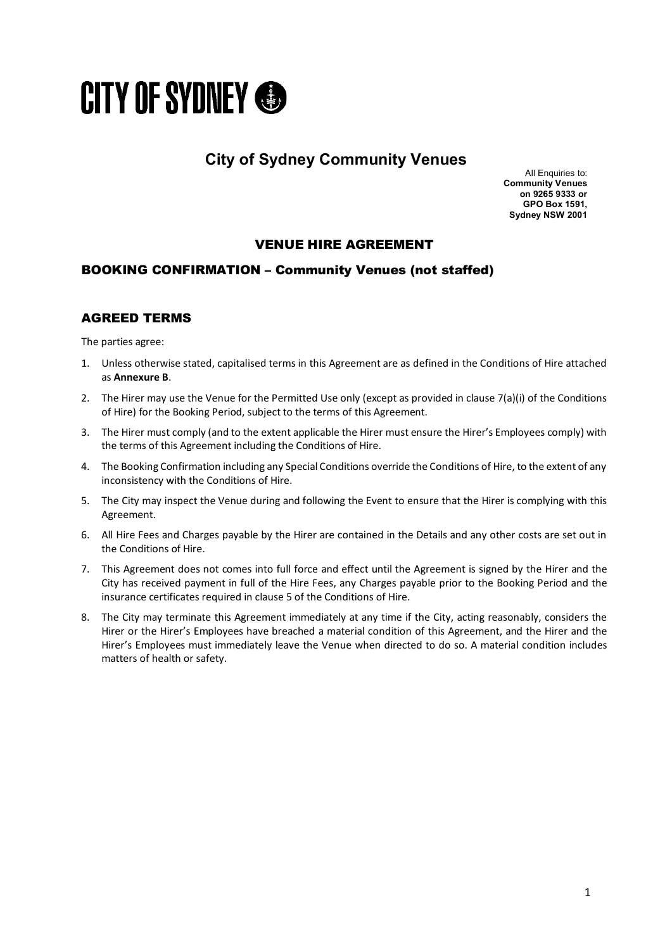

# **City of Sydney Community Venues**

All Enquiries to: **Community Venues on 9265 9333 or GPO Box 1591, Sydney NSW 2001**

## VENUE HIRE AGREEMENT

## BOOKING CONFIRMATION – Community Venues (not staffed)

## AGREED TERMS

The parties agree:

- 1. Unless otherwise stated, capitalised terms in this Agreement are as defined in the Conditions of Hire attached as **Annexure B**.
- 2. The Hirer may use the Venue for the Permitted Use only (except as provided in clause 7(a)(i) of the Conditions of Hire) for the Booking Period, subject to the terms of this Agreement.
- 3. The Hirer must comply (and to the extent applicable the Hirer must ensure the Hirer's Employees comply) with the terms of this Agreement including the Conditions of Hire.
- 4. The Booking Confirmation including any Special Conditions override the Conditions of Hire, to the extent of any inconsistency with the Conditions of Hire.
- 5. The City may inspect the Venue during and following the Event to ensure that the Hirer is complying with this Agreement.
- 6. All Hire Fees and Charges payable by the Hirer are contained in the Details and any other costs are set out in the Conditions of Hire.
- 7. This Agreement does not comes into full force and effect until the Agreement is signed by the Hirer and the City has received payment in full of the Hire Fees, any Charges payable prior to the Booking Period and the insurance certificates required in clause 5 of the Conditions of Hire.
- 8. The City may terminate this Agreement immediately at any time if the City, acting reasonably, considers the Hirer or the Hirer's Employees have breached a material condition of this Agreement, and the Hirer and the Hirer's Employees must immediately leave the Venue when directed to do so. A material condition includes matters of health or safety.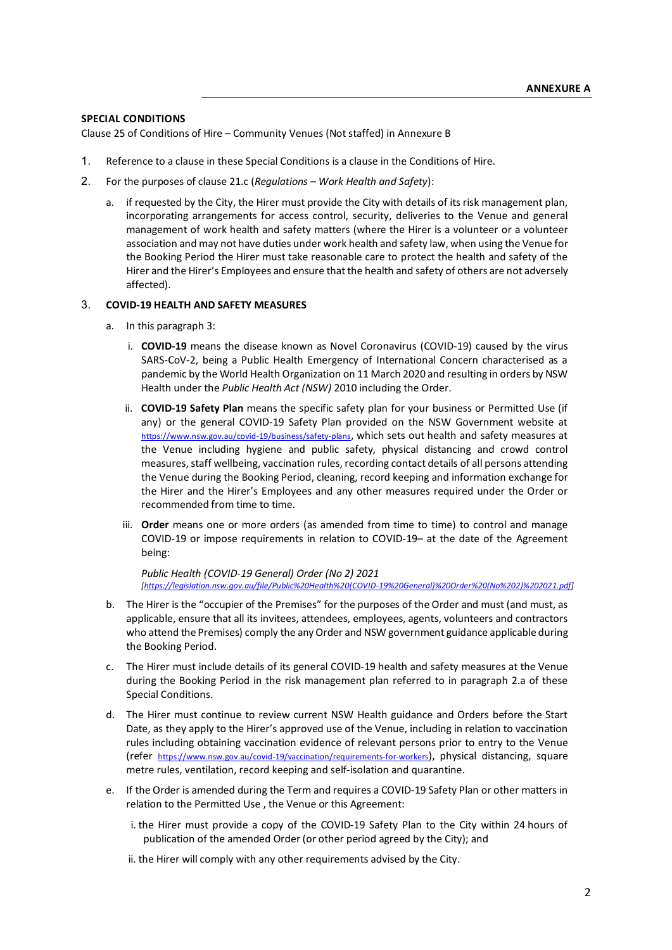### **SPECIAL CONDITIONS**

Clause 25 of Conditions of Hire – Community Venues (Not staffed) in Annexure B

- 1. Reference to a clause in these Special Conditions is a clause in the Conditions of Hire.
- 2. For the purposes of clause 21.c (*Regulations – Work Health and Safety*):
	- a. if requested by the City, the Hirer must provide the City with details of its risk management plan, incorporating arrangements for access control, security, deliveries to the Venue and general management of work health and safety matters (where the Hirer is a volunteer or a volunteer association and may not have duties under work health and safety law, when using the Venue for the Booking Period the Hirer must take reasonable care to protect the health and safety of the Hirer and the Hirer's Employees and ensure that the health and safety of others are not adversely affected).

#### 3. **COVID-19 HEALTH AND SAFETY MEASURES**

- a. In this paragraph 3:
	- i. **COVID-19** means the disease known as Novel Coronavirus (COVID-19) caused by the virus SARS-CoV-2, being a Public Health Emergency of International Concern characterised as a pandemic by the World Health Organization on 11 March 2020 and resulting in orders by NSW Health under the *Public Health Act (NSW)* 2010 including the Order.
	- ii. **COVID-19 Safety Plan** means the specific safety plan for your business or Permitted Use (if any) or the general COVID-19 Safety Plan provided on the NSW Government website at [https://www.nsw.gov.au/covid-19/business/safety-plans,](https://www.nsw.gov.au/covid-19/business/safety-plans) which sets out health and safety measures at the Venue including hygiene and public safety, physical distancing and crowd control measures, staff wellbeing, vaccination rules, recording contact details of all persons attending the Venue during the Booking Period, cleaning, record keeping and information exchange for the Hirer and the Hirer's Employees and any other measures required under the Order or recommended from time to time.
	- iii. **Order** means one or more orders (as amended from time to time) to control and manage COVID-19 or impose requirements in relation to COVID-19– at the date of the Agreement being:

*Public Health (COVID-19 General) Order (No 2) 2021 [\[https://legislation.nsw.gov.au/file/Public%20Health%20\(COVID-19%20General\)%20Order%20\(No%202\)%202021.pdf\]](https://legislation.nsw.gov.au/file/Public%20Health%20(COVID-19%20General)%20Order%20(No%202)%202021.pdf)*

- b. The Hirer is the "occupier of the Premises" for the purposes of the Order and must (and must, as applicable, ensure that all its invitees, attendees, employees, agents, volunteers and contractors who attend the Premises) comply the any Order and NSW government guidance applicable during the Booking Period.
- c. The Hirer must include details of its general COVID-19 health and safety measures at the Venue during the Booking Period in the risk management plan referred to in paragraph 2.a of these Special Conditions.
- d. The Hirer must continue to review current NSW Health guidance and Orders before the Start Date, as they apply to the Hirer's approved use of the Venue, including in relation to vaccination rules including obtaining vaccination evidence of relevant persons prior to entry to the Venue (refer [https://www.nsw.gov.au/covid-19/vaccination/requirements-for-workers\)](https://www.nsw.gov.au/covid-19/vaccination/requirements-for-workers), physical distancing, square metre rules, ventilation, record keeping and self-isolation and quarantine.
- e. If the Order is amended during the Term and requires a COVID-19 Safety Plan or other matters in relation to the Permitted Use , the Venue or this Agreement:
	- i. the Hirer must provide a copy of the COVID-19 Safety Plan to the City within 24 hours of publication of the amended Order (or other period agreed by the City); and
	- ii. the Hirer will comply with any other requirements advised by the City.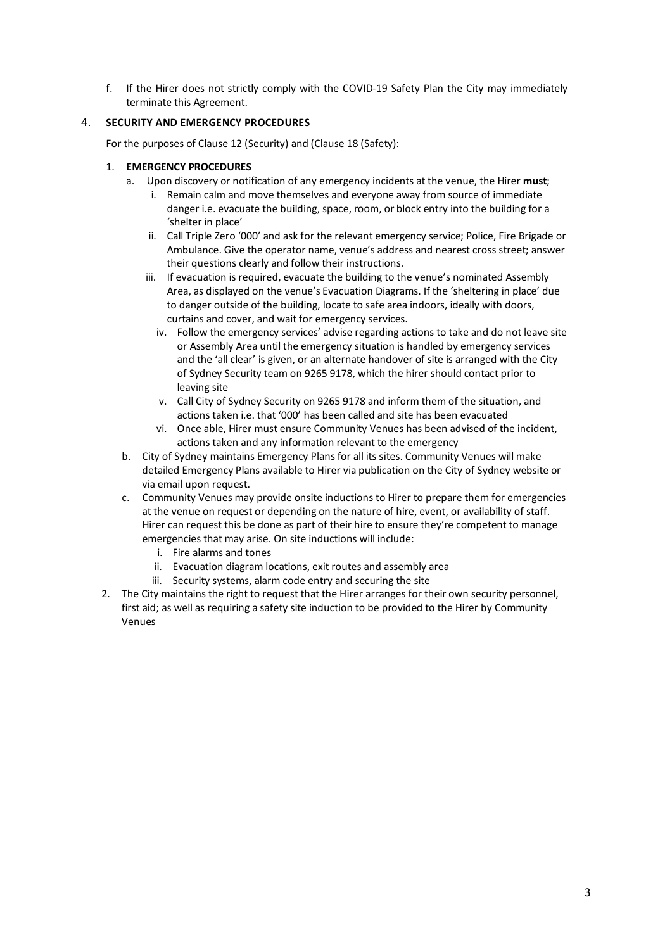f. If the Hirer does not strictly comply with the COVID-19 Safety Plan the City may immediately terminate this Agreement.

## 4. **SECURITY AND EMERGENCY PROCEDURES**

For the purposes of Clause 12 (Security) and (Clause 18 (Safety):

## 1. **EMERGENCY PROCEDURES**

- a. Upon discovery or notification of any emergency incidents at the venue, the Hirer **must**;
	- i. Remain calm and move themselves and everyone away from source of immediate danger i.e. evacuate the building, space, room, or block entry into the building for a 'shelter in place'
	- ii. Call Triple Zero '000' and ask for the relevant emergency service; Police, Fire Brigade or Ambulance. Give the operator name, venue's address and nearest cross street; answer their questions clearly and follow their instructions.
	- iii. If evacuation is required, evacuate the building to the venue's nominated Assembly Area, as displayed on the venue's Evacuation Diagrams. If the 'sheltering in place' due to danger outside of the building, locate to safe area indoors, ideally with doors, curtains and cover, and wait for emergency services.
		- iv. Follow the emergency services' advise regarding actions to take and do not leave site or Assembly Area until the emergency situation is handled by emergency services and the 'all clear' is given, or an alternate handover of site is arranged with the City of Sydney Security team on 9265 9178, which the hirer should contact prior to leaving site
		- v. Call City of Sydney Security on 9265 9178 and inform them of the situation, and actions taken i.e. that '000' has been called and site has been evacuated
		- vi. Once able, Hirer must ensure Community Venues has been advised of the incident, actions taken and any information relevant to the emergency
- b. City of Sydney maintains Emergency Plans for all its sites. Community Venues will make detailed Emergency Plans available to Hirer via publication on the City of Sydney website or via email upon request.
- c. Community Venues may provide onsite inductions to Hirer to prepare them for emergencies at the venue on request or depending on the nature of hire, event, or availability of staff. Hirer can request this be done as part of their hire to ensure they're competent to manage emergencies that may arise. On site inductions will include:
	- i. Fire alarms and tones
	- ii. Evacuation diagram locations, exit routes and assembly area
	- iii. Security systems, alarm code entry and securing the site
- 2. The City maintains the right to request that the Hirer arranges for their own security personnel, first aid; as well as requiring a safety site induction to be provided to the Hirer by Community Venues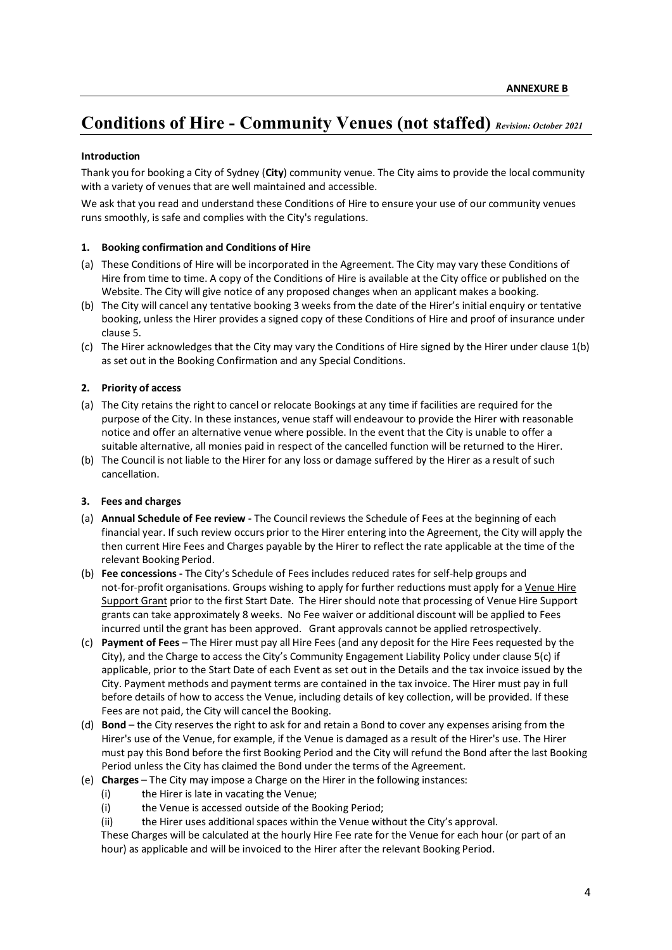# **Conditions of Hire - Community Venues (not staffed)** *Revision: October 2021*

#### **Introduction**

Thank you for booking a City of Sydney (**City**) community venue. The City aims to provide the local community with a variety of venues that are well maintained and accessible.

We ask that you read and understand these Conditions of Hire to ensure your use of our community venues runs smoothly, is safe and complies with the City's regulations.

#### **1. Booking confirmation and Conditions of Hire**

- (a) These Conditions of Hire will be incorporated in the Agreement. The City may vary these Conditions of Hire from time to time. A copy of the Conditions of Hire is available at the City office or published on the Website. The City will give notice of any proposed changes when an applicant makes a booking.
- (b) The City will cancel any tentative booking 3 weeks from the date of the Hirer's initial enquiry or tentative booking, unless the Hirer provides a signed copy of these Conditions of Hire and proof of insurance under clause 5.
- (c) The Hirer acknowledges that the City may vary the Conditions of Hire signed by the Hirer under clause 1(b) as set out in the Booking Confirmation and any Special Conditions.

#### **2. Priority of access**

- (a) The City retains the right to cancel or relocate Bookings at any time if facilities are required for the purpose of the City. In these instances, venue staff will endeavour to provide the Hirer with reasonable notice and offer an alternative venue where possible. In the event that the City is unable to offer a suitable alternative, all monies paid in respect of the cancelled function will be returned to the Hirer.
- (b) The Council is not liable to the Hirer for any loss or damage suffered by the Hirer as a result of such cancellation.

#### **3. Fees and charges**

- (a) **Annual Schedule of Fee review -** The Council reviews the Schedule of Fees at the beginning of each financial year. If such review occurs prior to the Hirer entering into the Agreement, the City will apply the then current Hire Fees and Charges payable by the Hirer to reflect the rate applicable at the time of the relevant Booking Period.
- (b) **Fee concessions -** The City's Schedule of Fees includes reduced rates for self-help groups and not-for-profit organisations. Groups wishing to apply for further reductions must apply for a Venue Hire Support Grant prior to the first Start Date. The Hirer should note that processing of Venue Hire Support grants can take approximately 8 weeks. No Fee waiver or additional discount will be applied to Fees incurred until the grant has been approved. Grant approvals cannot be applied retrospectively.
- (c) **Payment of Fees** The Hirer must pay all Hire Fees (and any deposit for the Hire Fees requested by the City), and the Charge to access the City's Community Engagement Liability Policy under clause 5(c) if applicable, prior to the Start Date of each Event as set out in the Details and the tax invoice issued by the City. Payment methods and payment terms are contained in the tax invoice. The Hirer must pay in full before details of how to access the Venue, including details of key collection, will be provided. If these Fees are not paid, the City will cancel the Booking.
- (d) **Bond** the City reserves the right to ask for and retain a Bond to cover any expenses arising from the Hirer's use of the Venue, for example, if the Venue is damaged as a result of the Hirer's use. The Hirer must pay this Bond before the first Booking Period and the City will refund the Bond after the last Booking Period unless the City has claimed the Bond under the terms of the Agreement.
- (e) **Charges** The City may impose a Charge on the Hirer in the following instances:
	- (i) the Hirer is late in vacating the Venue;
	- (i) the Venue is accessed outside of the Booking Period;
	- (ii) the Hirer uses additional spaces within the Venue without the City's approval.

These Charges will be calculated at the hourly Hire Fee rate for the Venue for each hour (or part of an hour) as applicable and will be invoiced to the Hirer after the relevant Booking Period.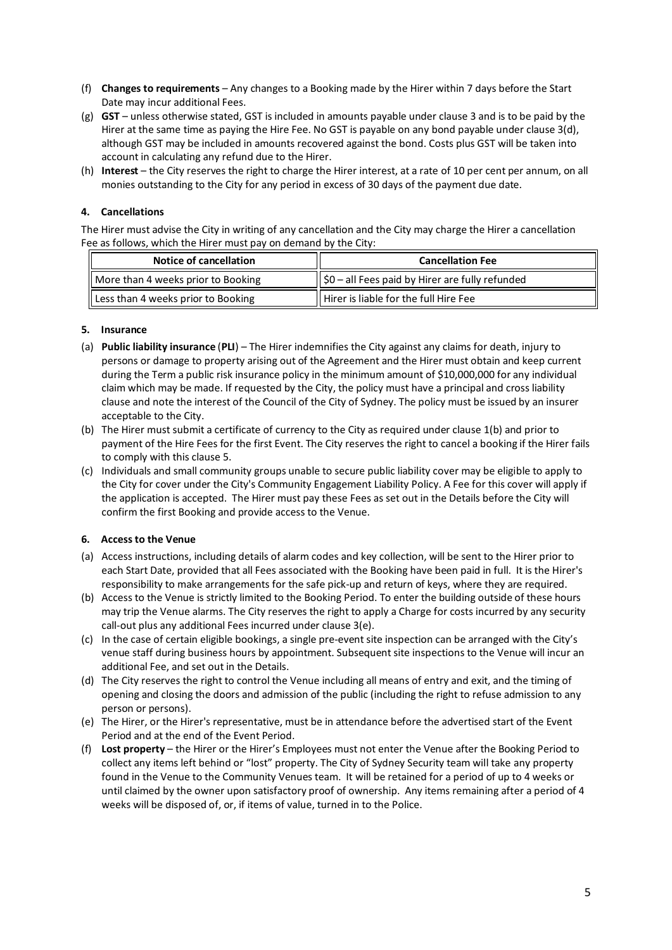- (f) **Changes to requirements** Any changes to a Booking made by the Hirer within 7 days before the Start Date may incur additional Fees.
- (g) **GST** unless otherwise stated, GST is included in amounts payable under clause 3 and is to be paid by the Hirer at the same time as paying the Hire Fee. No GST is payable on any bond payable under clause 3(d), although GST may be included in amounts recovered against the bond. Costs plus GST will be taken into account in calculating any refund due to the Hirer.
- (h) **Interest** the City reserves the right to charge the Hirer interest, at a rate of 10 per cent per annum, on all monies outstanding to the City for any period in excess of 30 days of the payment due date.

### **4. Cancellations**

The Hirer must advise the City in writing of any cancellation and the City may charge the Hirer a cancellation Fee as follows, which the Hirer must pay on demand by the City:

| Notice of cancellation             | <b>Cancellation Fee</b>                                     |
|------------------------------------|-------------------------------------------------------------|
| More than 4 weeks prior to Booking | $\parallel$ \$0 – all Fees paid by Hirer are fully refunded |
| Less than 4 weeks prior to Booking | Hirer is liable for the full Hire Fee                       |

#### **5. Insurance**

- (a) **Public liability insurance** (**PLI**) The Hirer indemnifies the City against any claims for death, injury to persons or damage to property arising out of the Agreement and the Hirer must obtain and keep current during the Term a public risk insurance policy in the minimum amount of \$10,000,000 for any individual claim which may be made. If requested by the City, the policy must have a principal and cross liability clause and note the interest of the Council of the City of Sydney. The policy must be issued by an insurer acceptable to the City.
- (b) The Hirer must submit a certificate of currency to the City as required under clause 1(b) and prior to payment of the Hire Fees for the first Event. The City reserves the right to cancel a booking if the Hirer fails to comply with this clause 5.
- (c) Individuals and small community groups unable to secure public liability cover may be eligible to apply to the City for cover under the City's Community Engagement Liability Policy. A Fee for this cover will apply if the application is accepted. The Hirer must pay these Fees as set out in the Details before the City will confirm the first Booking and provide access to the Venue.

## **6. Access to the Venue**

- (a) Access instructions, including details of alarm codes and key collection, will be sent to the Hirer prior to each Start Date, provided that all Fees associated with the Booking have been paid in full. It is the Hirer's responsibility to make arrangements for the safe pick-up and return of keys, where they are required.
- (b) Access to the Venue is strictly limited to the Booking Period. To enter the building outside of these hours may trip the Venue alarms. The City reserves the right to apply a Charge for costs incurred by any security call-out plus any additional Fees incurred under clause 3(e).
- (c) In the case of certain eligible bookings, a single pre-event site inspection can be arranged with the City's venue staff during business hours by appointment. Subsequent site inspections to the Venue will incur an additional Fee, and set out in the Details.
- (d) The City reserves the right to control the Venue including all means of entry and exit, and the timing of opening and closing the doors and admission of the public (including the right to refuse admission to any person or persons).
- (e) The Hirer, or the Hirer's representative, must be in attendance before the advertised start of the Event Period and at the end of the Event Period.
- (f) **Lost property** the Hirer or the Hirer's Employees must not enter the Venue after the Booking Period to collect any items left behind or "lost" property. The City of Sydney Security team will take any property found in the Venue to the Community Venues team. It will be retained for a period of up to 4 weeks or until claimed by the owner upon satisfactory proof of ownership. Any items remaining after a period of 4 weeks will be disposed of, or, if items of value, turned in to the Police.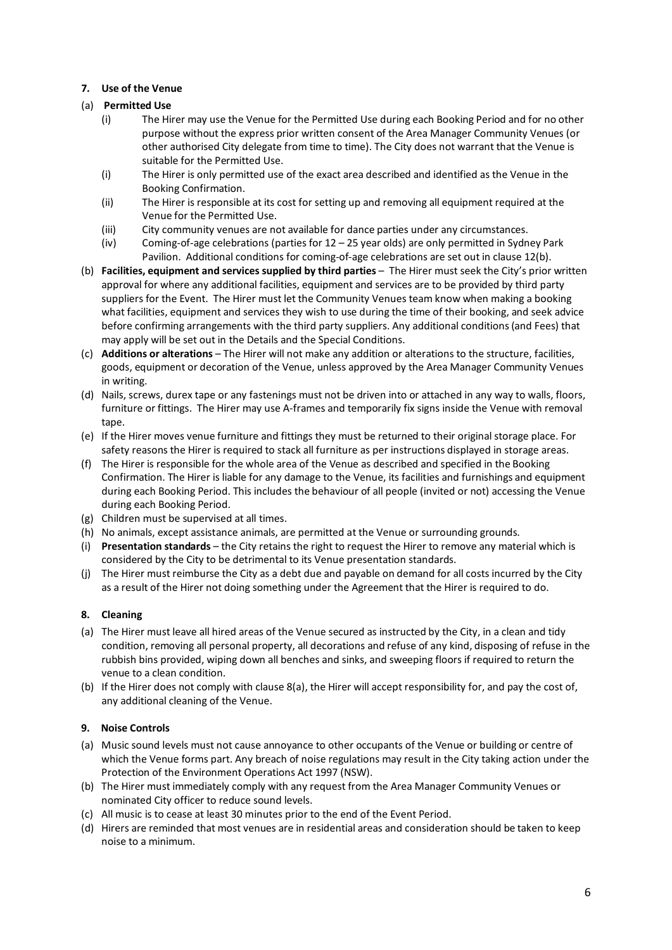## **7. Use of the Venue**

## (a) **Permitted Use**

- (i) The Hirer may use the Venue for the Permitted Use during each Booking Period and for no other purpose without the express prior written consent of the Area Manager Community Venues (or other authorised City delegate from time to time). The City does not warrant that the Venue is suitable for the Permitted Use.
- (i) The Hirer is only permitted use of the exact area described and identified as the Venue in the Booking Confirmation.
- (ii) The Hirer is responsible at its cost for setting up and removing all equipment required at the Venue for the Permitted Use.
- (iii) City community venues are not available for dance parties under any circumstances.
- (iv) Coming-of-age celebrations (parties for 12 25 year olds) are only permitted in Sydney Park Pavilion. Additional conditions for coming-of-age celebrations are set out in clause 12(b).
- (b) **Facilities, equipment and services supplied by third parties**  The Hirer must seek the City's prior written approval for where any additional facilities, equipment and services are to be provided by third party suppliers for the Event. The Hirer must let the Community Venues team know when making a booking what facilities, equipment and services they wish to use during the time of their booking, and seek advice before confirming arrangements with the third party suppliers. Any additional conditions (and Fees) that may apply will be set out in the Details and the Special Conditions.
- (c) **Additions or alterations** The Hirer will not make any addition or alterations to the structure, facilities, goods, equipment or decoration of the Venue, unless approved by the Area Manager Community Venues in writing.
- (d) Nails, screws, durex tape or any fastenings must not be driven into or attached in any way to walls, floors, furniture or fittings. The Hirer may use A-frames and temporarily fix signs inside the Venue with removal tape.
- (e) If the Hirer moves venue furniture and fittings they must be returned to their original storage place. For safety reasons the Hirer is required to stack all furniture as per instructions displayed in storage areas.
- (f) The Hirer is responsible for the whole area of the Venue as described and specified in the Booking Confirmation. The Hirer is liable for any damage to the Venue, its facilities and furnishings and equipment during each Booking Period. This includes the behaviour of all people (invited or not) accessing the Venue during each Booking Period.
- (g) Children must be supervised at all times.
- (h) No animals, except assistance animals, are permitted at the Venue or surrounding grounds.
- (i) **Presentation standards** the City retains the right to request the Hirer to remove any material which is considered by the City to be detrimental to its Venue presentation standards.
- (j) The Hirer must reimburse the City as a debt due and payable on demand for all costs incurred by the City as a result of the Hirer not doing something under the Agreement that the Hirer is required to do.

## **8. Cleaning**

- (a) The Hirer must leave all hired areas of the Venue secured as instructed by the City, in a clean and tidy condition, removing all personal property, all decorations and refuse of any kind, disposing of refuse in the rubbish bins provided, wiping down all benches and sinks, and sweeping floors if required to return the venue to a clean condition.
- (b) If the Hirer does not comply with clause 8(a), the Hirer will accept responsibility for, and pay the cost of, any additional cleaning of the Venue.

## **9. Noise Controls**

- (a) Music sound levels must not cause annoyance to other occupants of the Venue or building or centre of which the Venue forms part. Any breach of noise regulations may result in the City taking action under the Protection of the Environment Operations Act 1997 (NSW).
- (b) The Hirer must immediately comply with any request from the Area Manager Community Venues or nominated City officer to reduce sound levels.
- (c) All music is to cease at least 30 minutes prior to the end of the Event Period.
- (d) Hirers are reminded that most venues are in residential areas and consideration should be taken to keep noise to a minimum.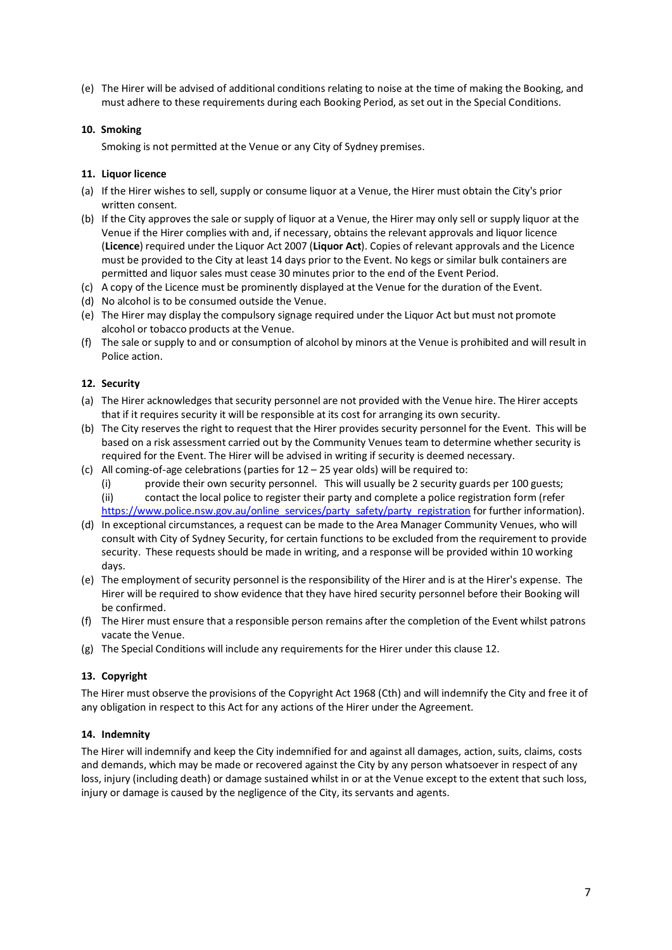(e) The Hirer will be advised of additional conditions relating to noise at the time of making the Booking, and must adhere to these requirements during each Booking Period, as set out in the Special Conditions.

### **10. Smoking**

Smoking is not permitted at the Venue or any City of Sydney premises.

#### **11. Liquor licence**

- (a) If the Hirer wishes to sell, supply or consume liquor at a Venue, the Hirer must obtain the City's prior written consent.
- (b) If the City approves the sale or supply of liquor at a Venue, the Hirer may only sell or supply liquor at the Venue if the Hirer complies with and, if necessary, obtains the relevant approvals and liquor licence (**Licence**) required under the Liquor Act 2007 (**Liquor Act**). Copies of relevant approvals and the Licence must be provided to the City at least 14 days prior to the Event. No kegs or similar bulk containers are permitted and liquor sales must cease 30 minutes prior to the end of the Event Period.
- (c) A copy of the Licence must be prominently displayed at the Venue for the duration of the Event.
- (d) No alcohol is to be consumed outside the Venue.
- (e) The Hirer may display the compulsory signage required under the Liquor Act but must not promote alcohol or tobacco products at the Venue.
- (f) The sale or supply to and or consumption of alcohol by minors at the Venue is prohibited and will result in Police action.

#### **12. Security**

- (a) The Hirer acknowledges that security personnel are not provided with the Venue hire. The Hirer accepts that if it requires security it will be responsible at its cost for arranging its own security.
- (b) The City reserves the right to request that the Hirer provides security personnel for the Event. This will be based on a risk assessment carried out by the Community Venues team to determine whether security is required for the Event. The Hirer will be advised in writing if security is deemed necessary.
- (c) All coming-of-age celebrations (parties for 12 25 year olds) will be required to:
	- (i) provide their own security personnel. This will usually be 2 security guards per 100 guests; (ii) contact the local police to register their party and complete a police registration form (refer [https://www.police.nsw.gov.au/online\\_services/party\\_safety/party\\_registration](https://www.police.nsw.gov.au/online_services/party_safety/party_registration) for further information).
- (d) In exceptional circumstances, a request can be made to the Area Manager Community Venues, who will consult with City of Sydney Security, for certain functions to be excluded from the requirement to provide security. These requests should be made in writing, and a response will be provided within 10 working days.
- (e) The employment of security personnel is the responsibility of the Hirer and is at the Hirer's expense. The Hirer will be required to show evidence that they have hired security personnel before their Booking will be confirmed.
- (f) The Hirer must ensure that a responsible person remains after the completion of the Event whilst patrons vacate the Venue.
- (g) The Special Conditions will include any requirements for the Hirer under this clause 12.

## **13. Copyright**

The Hirer must observe the provisions of the Copyright Act 1968 (Cth) and will indemnify the City and free it of any obligation in respect to this Act for any actions of the Hirer under the Agreement.

#### **14. Indemnity**

The Hirer will indemnify and keep the City indemnified for and against all damages, action, suits, claims, costs and demands, which may be made or recovered against the City by any person whatsoever in respect of any loss, injury (including death) or damage sustained whilst in or at the Venue except to the extent that such loss, injury or damage is caused by the negligence of the City, its servants and agents.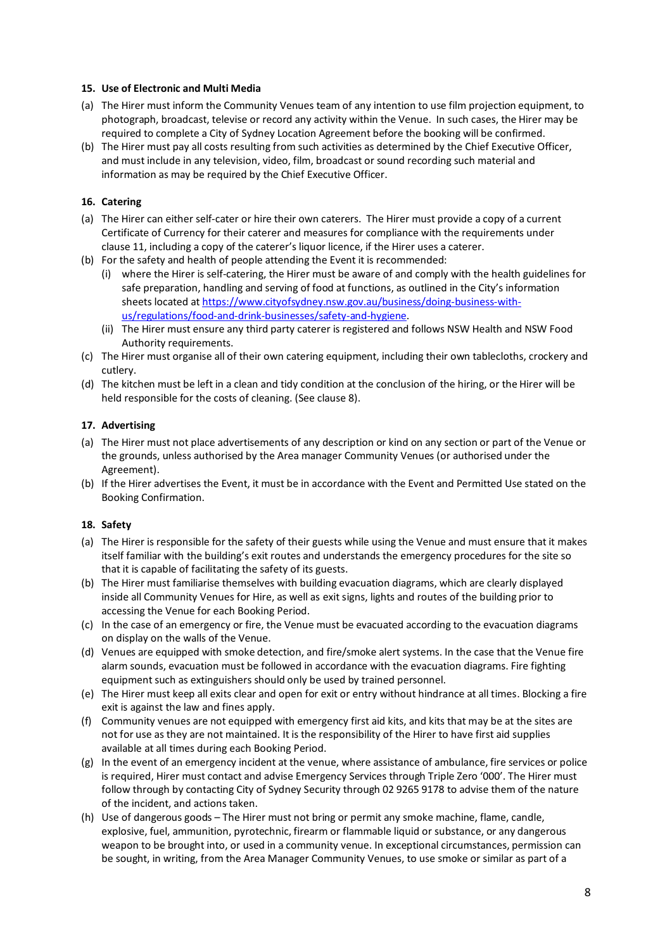#### **15. Use of Electronic and Multi Media**

- (a) The Hirer must inform the Community Venues team of any intention to use film projection equipment, to photograph, broadcast, televise or record any activity within the Venue. In such cases, the Hirer may be required to complete a City of Sydney Location Agreement before the booking will be confirmed.
- (b) The Hirer must pay all costs resulting from such activities as determined by the Chief Executive Officer, and must include in any television, video, film, broadcast or sound recording such material and information as may be required by the Chief Executive Officer.

### **16. Catering**

- (a) The Hirer can either self-cater or hire their own caterers. The Hirer must provide a copy of a current Certificate of Currency for their caterer and measures for compliance with the requirements under clause 11, including a copy of the caterer's liquor licence, if the Hirer uses a caterer.
- (b) For the safety and health of people attending the Event it is recommended:
	- (i) where the Hirer is self-catering, the Hirer must be aware of and comply with the health guidelines for safe preparation, handling and serving of food at functions, as outlined in the City's information sheets located a[t https://www.cityofsydney.nsw.gov.au/business/doing-business-with](https://www.cityofsydney.nsw.gov.au/business/doing-business-with-us/regulations/food-and-drink-businesses/safety-and-hygiene)[us/regulations/food-and-drink-businesses/safety-and-hygiene.](https://www.cityofsydney.nsw.gov.au/business/doing-business-with-us/regulations/food-and-drink-businesses/safety-and-hygiene)
	- (ii) The Hirer must ensure any third party caterer is registered and follows NSW Health and NSW Food Authority requirements.
- (c) The Hirer must organise all of their own catering equipment, including their own tablecloths, crockery and cutlery.
- (d) The kitchen must be left in a clean and tidy condition at the conclusion of the hiring, or the Hirer will be held responsible for the costs of cleaning. (See clause 8).

#### **17. Advertising**

- (a) The Hirer must not place advertisements of any description or kind on any section or part of the Venue or the grounds, unless authorised by the Area manager Community Venues (or authorised under the Agreement).
- (b) If the Hirer advertises the Event, it must be in accordance with the Event and Permitted Use stated on the Booking Confirmation.

#### **18. Safety**

- (a) The Hirer is responsible for the safety of their guests while using the Venue and must ensure that it makes itself familiar with the building's exit routes and understands the emergency procedures for the site so that it is capable of facilitating the safety of its guests.
- (b) The Hirer must familiarise themselves with building evacuation diagrams, which are clearly displayed inside all Community Venues for Hire, as well as exit signs, lights and routes of the building prior to accessing the Venue for each Booking Period.
- (c) In the case of an emergency or fire, the Venue must be evacuated according to the evacuation diagrams on display on the walls of the Venue.
- (d) Venues are equipped with smoke detection, and fire/smoke alert systems. In the case that the Venue fire alarm sounds, evacuation must be followed in accordance with the evacuation diagrams. Fire fighting equipment such as extinguishers should only be used by trained personnel.
- (e) The Hirer must keep all exits clear and open for exit or entry without hindrance at all times. Blocking a fire exit is against the law and fines apply.
- (f) Community venues are not equipped with emergency first aid kits, and kits that may be at the sites are not for use as they are not maintained. It is the responsibility of the Hirer to have first aid supplies available at all times during each Booking Period.
- (g) In the event of an emergency incident at the venue, where assistance of ambulance, fire services or police is required, Hirer must contact and advise Emergency Services through Triple Zero '000'. The Hirer must follow through by contacting City of Sydney Security through 02 9265 9178 to advise them of the nature of the incident, and actions taken.
- (h) Use of dangerous goods The Hirer must not bring or permit any smoke machine, flame, candle, explosive, fuel, ammunition, pyrotechnic, firearm or flammable liquid or substance, or any dangerous weapon to be brought into, or used in a community venue. In exceptional circumstances, permission can be sought, in writing, from the Area Manager Community Venues, to use smoke or similar as part of a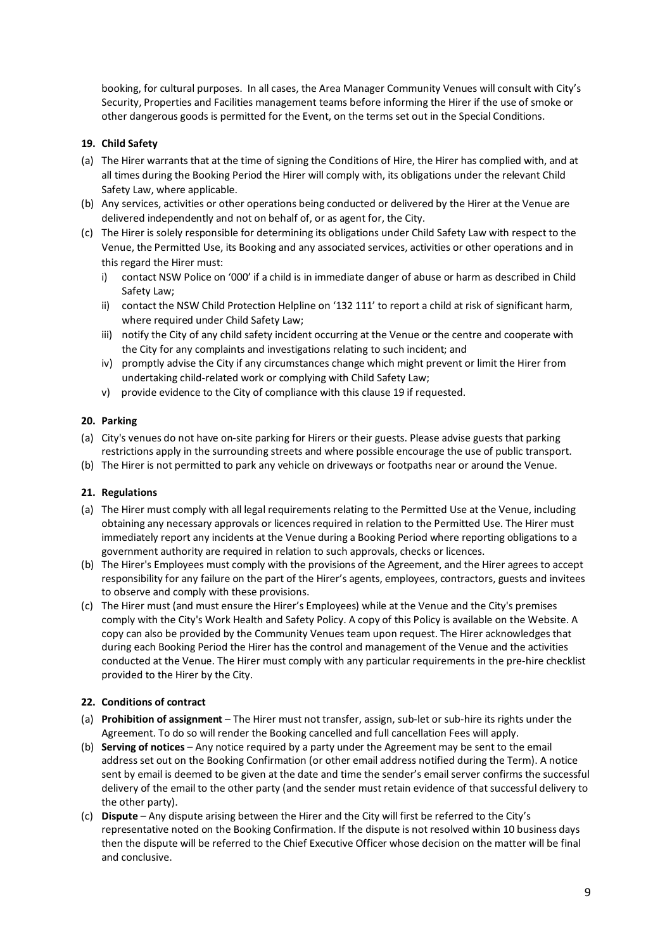booking, for cultural purposes. In all cases, the Area Manager Community Venues will consult with City's Security, Properties and Facilities management teams before informing the Hirer if the use of smoke or other dangerous goods is permitted for the Event, on the terms set out in the Special Conditions.

### **19. Child Safety**

- (a) The Hirer warrants that at the time of signing the Conditions of Hire, the Hirer has complied with, and at all times during the Booking Period the Hirer will comply with, its obligations under the relevant Child Safety Law, where applicable.
- (b) Any services, activities or other operations being conducted or delivered by the Hirer at the Venue are delivered independently and not on behalf of, or as agent for, the City.
- (c) The Hirer is solely responsible for determining its obligations under Child Safety Law with respect to the Venue, the Permitted Use, its Booking and any associated services, activities or other operations and in this regard the Hirer must:
	- i) contact NSW Police on '000' if a child is in immediate danger of abuse or harm as described in Child Safety Law;
	- ii) contact the NSW Child Protection Helpline on '132 111' to report a child at risk of significant harm, where required under Child Safety Law;
	- iii) notify the City of any child safety incident occurring at the Venue or the centre and cooperate with the City for any complaints and investigations relating to such incident; and
	- iv) promptly advise the City if any circumstances change which might prevent or limit the Hirer from undertaking child-related work or complying with Child Safety Law;
	- v) provide evidence to the City of compliance with this clause 19 if requested.

#### **20. Parking**

- (a) City's venues do not have on-site parking for Hirers or their guests. Please advise guests that parking restrictions apply in the surrounding streets and where possible encourage the use of public transport.
- (b) The Hirer is not permitted to park any vehicle on driveways or footpaths near or around the Venue.

#### **21. Regulations**

- (a) The Hirer must comply with all legal requirements relating to the Permitted Use at the Venue, including obtaining any necessary approvals or licences required in relation to the Permitted Use. The Hirer must immediately report any incidents at the Venue during a Booking Period where reporting obligations to a government authority are required in relation to such approvals, checks or licences.
- (b) The Hirer's Employees must comply with the provisions of the Agreement, and the Hirer agrees to accept responsibility for any failure on the part of the Hirer's agents, employees, contractors, guests and invitees to observe and comply with these provisions.
- (c) The Hirer must (and must ensure the Hirer's Employees) while at the Venue and the City's premises comply with the City's Work Health and Safety Policy. A copy of this Policy is available on the Website. A copy can also be provided by the Community Venues team upon request. The Hirer acknowledges that during each Booking Period the Hirer has the control and management of the Venue and the activities conducted at the Venue. The Hirer must comply with any particular requirements in the pre-hire checklist provided to the Hirer by the City.

#### **22. Conditions of contract**

- (a) **Prohibition of assignment** The Hirer must not transfer, assign, sub-let or sub-hire its rights under the Agreement. To do so will render the Booking cancelled and full cancellation Fees will apply.
- (b) **Serving of notices** Any notice required by a party under the Agreement may be sent to the email address set out on the Booking Confirmation (or other email address notified during the Term). A notice sent by email is deemed to be given at the date and time the sender's email server confirms the successful delivery of the email to the other party (and the sender must retain evidence of that successful delivery to the other party).
- (c) **Dispute** Any dispute arising between the Hirer and the City will first be referred to the City's representative noted on the Booking Confirmation. If the dispute is not resolved within 10 business days then the dispute will be referred to the Chief Executive Officer whose decision on the matter will be final and conclusive.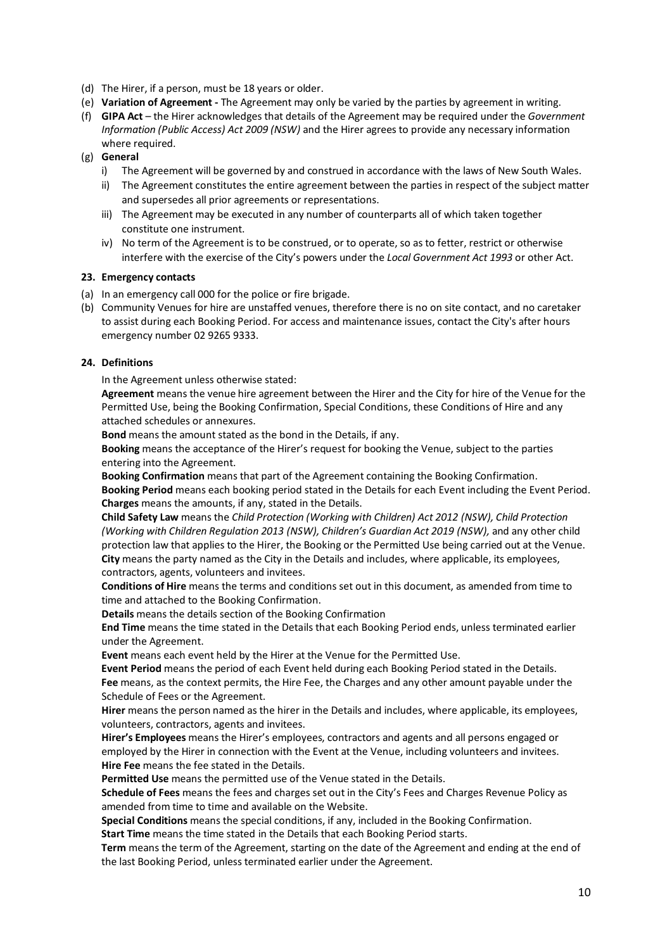- (d) The Hirer, if a person, must be 18 years or older.
- (e) **Variation of Agreement -** The Agreement may only be varied by the parties by agreement in writing.
- (f) **GIPA Act**  the Hirer acknowledges that details of the Agreement may be required under the *Government Information (Public Access) Act 2009 (NSW)* and the Hirer agrees to provide any necessary information where required.
- (g) **General**
	- i) The Agreement will be governed by and construed in accordance with the laws of New South Wales.
	- ii) The Agreement constitutes the entire agreement between the parties in respect of the subject matter and supersedes all prior agreements or representations.
	- iii) The Agreement may be executed in any number of counterparts all of which taken together constitute one instrument.
	- iv) No term of the Agreement is to be construed, or to operate, so as to fetter, restrict or otherwise interfere with the exercise of the City's powers under the *Local Government Act 1993* or other Act.

#### **23. Emergency contacts**

- (a) In an emergency call 000 for the police or fire brigade.
- (b) Community Venues for hire are unstaffed venues, therefore there is no on site contact, and no caretaker to assist during each Booking Period. For access and maintenance issues, contact the City's after hours emergency number 02 9265 9333.

#### **24. Definitions**

In the Agreement unless otherwise stated:

**Agreement** means the venue hire agreement between the Hirer and the City for hire of the Venue for the Permitted Use, being the Booking Confirmation, Special Conditions, these Conditions of Hire and any attached schedules or annexures.

**Bond** means the amount stated as the bond in the Details, if any.

**Booking** means the acceptance of the Hirer's request for booking the Venue, subject to the parties entering into the Agreement.

**Booking Confirmation** means that part of the Agreement containing the Booking Confirmation. **Booking Period** means each booking period stated in the Details for each Event including the Event Period. **Charges** means the amounts, if any, stated in the Details.

**Child Safety Law** means the *Child Protection (Working with Children) Act 2012 (NSW), Child Protection (Working with Children Regulation 2013 (NSW), Children's Guardian Act 2019 (NSW), and any other child* protection law that applies to the Hirer, the Booking or the Permitted Use being carried out at the Venue. **City** means the party named as the City in the Details and includes, where applicable, its employees, contractors, agents, volunteers and invitees.

**Conditions of Hire** means the terms and conditions set out in this document, as amended from time to time and attached to the Booking Confirmation.

**Details** means the details section of the Booking Confirmation

**End Time** means the time stated in the Details that each Booking Period ends, unless terminated earlier under the Agreement.

**Event** means each event held by the Hirer at the Venue for the Permitted Use.

**Event Period** means the period of each Event held during each Booking Period stated in the Details. **Fee** means, as the context permits, the Hire Fee, the Charges and any other amount payable under the Schedule of Fees or the Agreement.

**Hirer** means the person named as the hirer in the Details and includes, where applicable, its employees, volunteers, contractors, agents and invitees.

**Hirer's Employees** means the Hirer's employees, contractors and agents and all persons engaged or employed by the Hirer in connection with the Event at the Venue, including volunteers and invitees. **Hire Fee** means the fee stated in the Details.

**Permitted Use** means the permitted use of the Venue stated in the Details.

**Schedule of Fees** means the fees and charges set out in the City's Fees and Charges Revenue Policy as amended from time to time and available on the Website.

**Special Conditions** means the special conditions, if any, included in the Booking Confirmation.

**Start Time** means the time stated in the Details that each Booking Period starts.

**Term** means the term of the Agreement, starting on the date of the Agreement and ending at the end of the last Booking Period, unless terminated earlier under the Agreement.